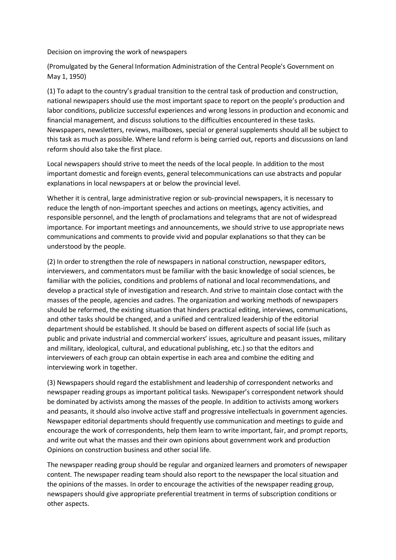Decision on improving the work of newspapers

(Promulgated by the General Information Administration of the Central People's Government on May 1, 1950)

(1) To adapt to the country's gradual transition to the central task of production and construction, national newspapers should use the most important space to report on the people's production and labor conditions, publicize successful experiences and wrong lessons in production and economic and financial management, and discuss solutions to the difficulties encountered in these tasks. Newspapers, newsletters, reviews, mailboxes, special or general supplements should all be subject to this task as much as possible. Where land reform is being carried out, reports and discussions on land reform should also take the first place.

Local newspapers should strive to meet the needs of the local people. In addition to the most important domestic and foreign events, general telecommunications can use abstracts and popular explanations in local newspapers at or below the provincial level.

Whether it is central, large administrative region or sub-provincial newspapers, it is necessary to reduce the length of non-important speeches and actions on meetings, agency activities, and responsible personnel, and the length of proclamations and telegrams that are not of widespread importance. For important meetings and announcements, we should strive to use appropriate news communications and comments to provide vivid and popular explanations so that they can be understood by the people.

(2) In order to strengthen the role of newspapers in national construction, newspaper editors, interviewers, and commentators must be familiar with the basic knowledge of social sciences, be familiar with the policies, conditions and problems of national and local recommendations, and develop a practical style of investigation and research. And strive to maintain close contact with the masses of the people, agencies and cadres. The organization and working methods of newspapers should be reformed, the existing situation that hinders practical editing, interviews, communications, and other tasks should be changed, and a unified and centralized leadership of the editorial department should be established. It should be based on different aspects of social life (such as public and private industrial and commercial workers' issues, agriculture and peasant issues, military and military, ideological, cultural, and educational publishing, etc.) so that the editors and interviewers of each group can obtain expertise in each area and combine the editing and interviewing work in together.

(3) Newspapers should regard the establishment and leadership of correspondent networks and newspaper reading groups as important political tasks. Newspaper's correspondent network should be dominated by activists among the masses of the people. In addition to activists among workers and peasants, it should also involve active staff and progressive intellectuals in government agencies. Newspaper editorial departments should frequently use communication and meetings to guide and encourage the work of correspondents, help them learn to write important, fair, and prompt reports, and write out what the masses and their own opinions about government work and production Opinions on construction business and other social life.

The newspaper reading group should be regular and organized learners and promoters of newspaper content. The newspaper reading team should also report to the newspaper the local situation and the opinions of the masses. In order to encourage the activities of the newspaper reading group, newspapers should give appropriate preferential treatment in terms of subscription conditions or other aspects.